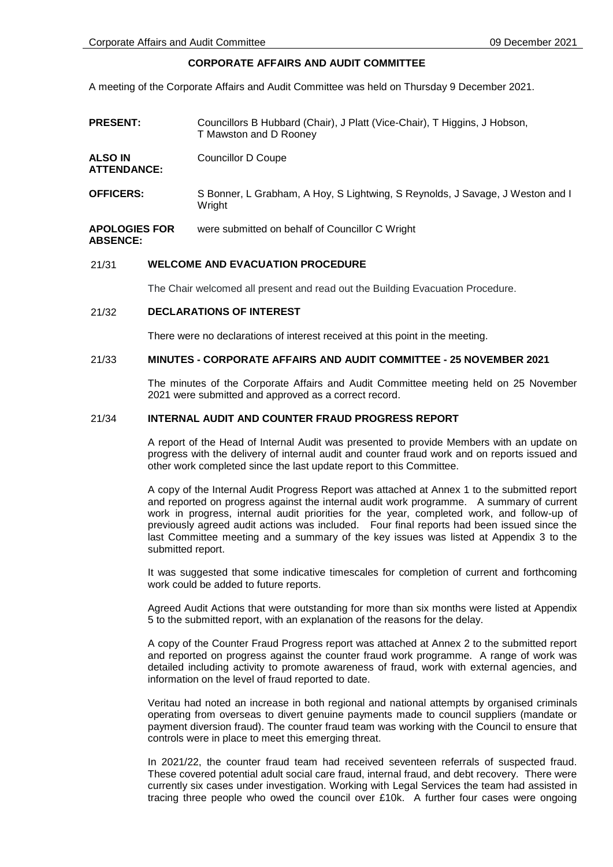# **CORPORATE AFFAIRS AND AUDIT COMMITTEE**

A meeting of the Corporate Affairs and Audit Committee was held on Thursday 9 December 2021.

| <b>PRESENT:</b>                         | Councillors B Hubbard (Chair), J Platt (Vice-Chair), T Higgins, J Hobson,<br>T Mawston and D Rooney |
|-----------------------------------------|-----------------------------------------------------------------------------------------------------|
| <b>ALSO IN</b><br><b>ATTENDANCE:</b>    | Councillor D Coupe                                                                                  |
| <b>OFFICERS:</b>                        | S Bonner, L Grabham, A Hoy, S Lightwing, S Reynolds, J Savage, J Weston and I<br>Wright             |
| <b>APOLOGIES FOR</b><br><b>ABSENCE:</b> | were submitted on behalf of Councillor C Wright                                                     |

# 21/31 **WELCOME AND EVACUATION PROCEDURE**

The Chair welcomed all present and read out the Building Evacuation Procedure.

# 21/32 **DECLARATIONS OF INTEREST**

There were no declarations of interest received at this point in the meeting.

# 21/33 **MINUTES - CORPORATE AFFAIRS AND AUDIT COMMITTEE - 25 NOVEMBER 2021**

The minutes of the Corporate Affairs and Audit Committee meeting held on 25 November 2021 were submitted and approved as a correct record.

### 21/34 **INTERNAL AUDIT AND COUNTER FRAUD PROGRESS REPORT**

A report of the Head of Internal Audit was presented to provide Members with an update on progress with the delivery of internal audit and counter fraud work and on reports issued and other work completed since the last update report to this Committee.

A copy of the Internal Audit Progress Report was attached at Annex 1 to the submitted report and reported on progress against the internal audit work programme. A summary of current work in progress, internal audit priorities for the year, completed work, and follow-up of previously agreed audit actions was included. Four final reports had been issued since the last Committee meeting and a summary of the key issues was listed at Appendix 3 to the submitted report.

It was suggested that some indicative timescales for completion of current and forthcoming work could be added to future reports.

Agreed Audit Actions that were outstanding for more than six months were listed at Appendix 5 to the submitted report, with an explanation of the reasons for the delay.

A copy of the Counter Fraud Progress report was attached at Annex 2 to the submitted report and reported on progress against the counter fraud work programme. A range of work was detailed including activity to promote awareness of fraud, work with external agencies, and information on the level of fraud reported to date.

Veritau had noted an increase in both regional and national attempts by organised criminals operating from overseas to divert genuine payments made to council suppliers (mandate or payment diversion fraud). The counter fraud team was working with the Council to ensure that controls were in place to meet this emerging threat.

In 2021/22, the counter fraud team had received seventeen referrals of suspected fraud. These covered potential adult social care fraud, internal fraud, and debt recovery. There were currently six cases under investigation. Working with Legal Services the team had assisted in tracing three people who owed the council over £10k. A further four cases were ongoing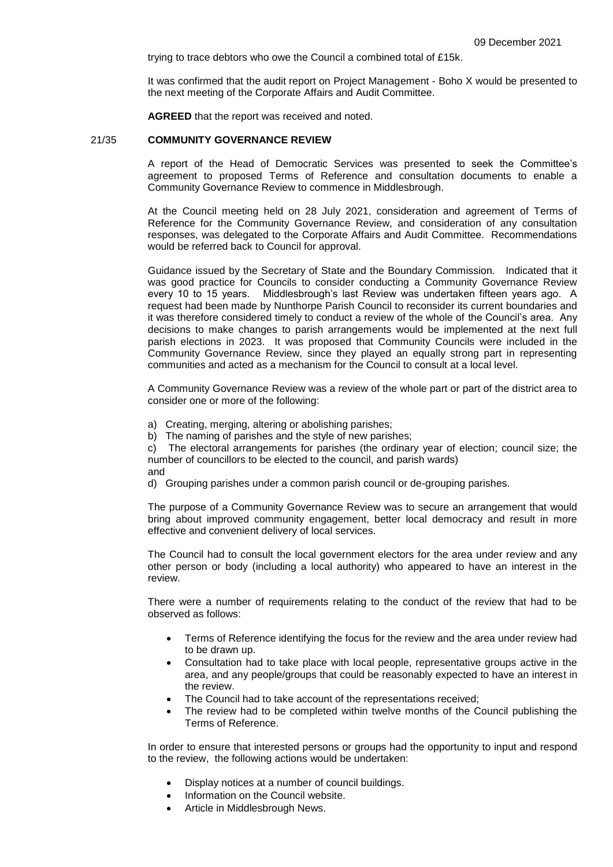trying to trace debtors who owe the Council a combined total of £15k.

It was confirmed that the audit report on Project Management - Boho X would be presented to the next meeting of the Corporate Affairs and Audit Committee.

**AGREED** that the report was received and noted.

### 21/35 **COMMUNITY GOVERNANCE REVIEW**

A report of the Head of Democratic Services was presented to seek the Committee's agreement to proposed Terms of Reference and consultation documents to enable a Community Governance Review to commence in Middlesbrough.

At the Council meeting held on 28 July 2021, consideration and agreement of Terms of Reference for the Community Governance Review, and consideration of any consultation responses, was delegated to the Corporate Affairs and Audit Committee. Recommendations would be referred back to Council for approval.

Guidance issued by the Secretary of State and the Boundary Commission. Indicated that it was good practice for Councils to consider conducting a Community Governance Review every 10 to 15 years. Middlesbrough's last Review was undertaken fifteen years ago. A request had been made by Nunthorpe Parish Council to reconsider its current boundaries and it was therefore considered timely to conduct a review of the whole of the Council's area. Any decisions to make changes to parish arrangements would be implemented at the next full parish elections in 2023. It was proposed that Community Councils were included in the Community Governance Review, since they played an equally strong part in representing communities and acted as a mechanism for the Council to consult at a local level.

A Community Governance Review was a review of the whole part or part of the district area to consider one or more of the following:

- a) Creating, merging, altering or abolishing parishes;
- b) The naming of parishes and the style of new parishes;

c) The electoral arrangements for parishes (the ordinary year of election; council size; the number of councillors to be elected to the council, and parish wards) and

d) Grouping parishes under a common parish council or de-grouping parishes.

The purpose of a Community Governance Review was to secure an arrangement that would bring about improved community engagement, better local democracy and result in more effective and convenient delivery of local services.

The Council had to consult the local government electors for the area under review and any other person or body (including a local authority) who appeared to have an interest in the review.

There were a number of requirements relating to the conduct of the review that had to be observed as follows:

- Terms of Reference identifying the focus for the review and the area under review had to be drawn up.
- Consultation had to take place with local people, representative groups active in the area, and any people/groups that could be reasonably expected to have an interest in the review.
- The Council had to take account of the representations received;
- The review had to be completed within twelve months of the Council publishing the Terms of Reference.

In order to ensure that interested persons or groups had the opportunity to input and respond to the review, the following actions would be undertaken:

- Display notices at a number of council buildings.
- Information on the Council website.
- Article in Middlesbrough News.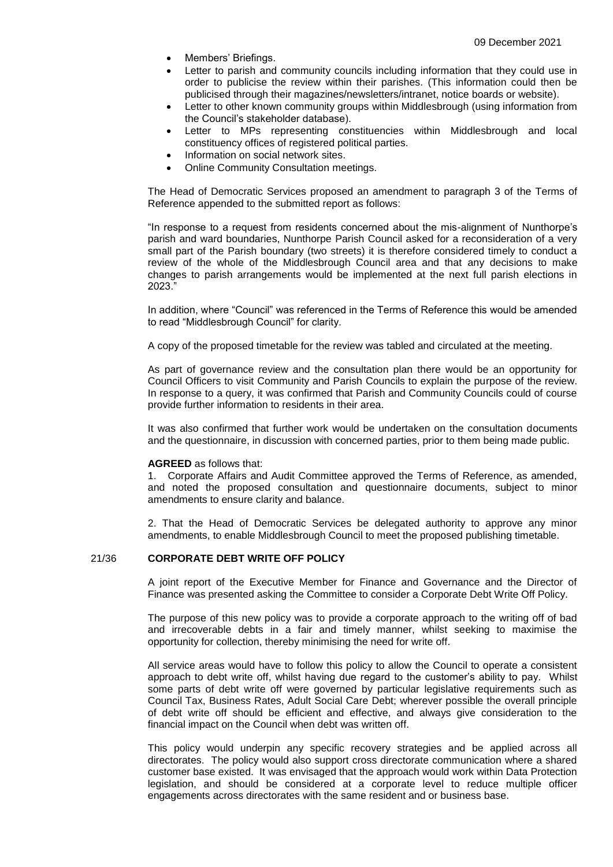- Members' Briefings.
- Letter to parish and community councils including information that they could use in order to publicise the review within their parishes. (This information could then be publicised through their magazines/newsletters/intranet, notice boards or website).
- Letter to other known community groups within Middlesbrough (using information from the Council's stakeholder database).
- Letter to MPs representing constituencies within Middlesbrough and local constituency offices of registered political parties.
- Information on social network sites.
- Online Community Consultation meetings.

The Head of Democratic Services proposed an amendment to paragraph 3 of the Terms of Reference appended to the submitted report as follows:

"In response to a request from residents concerned about the mis-alignment of Nunthorpe's parish and ward boundaries, Nunthorpe Parish Council asked for a reconsideration of a very small part of the Parish boundary (two streets) it is therefore considered timely to conduct a review of the whole of the Middlesbrough Council area and that any decisions to make changes to parish arrangements would be implemented at the next full parish elections in 2023."

In addition, where "Council" was referenced in the Terms of Reference this would be amended to read "Middlesbrough Council" for clarity.

A copy of the proposed timetable for the review was tabled and circulated at the meeting.

As part of governance review and the consultation plan there would be an opportunity for Council Officers to visit Community and Parish Councils to explain the purpose of the review. In response to a query, it was confirmed that Parish and Community Councils could of course provide further information to residents in their area.

It was also confirmed that further work would be undertaken on the consultation documents and the questionnaire, in discussion with concerned parties, prior to them being made public.

#### **AGREED** as follows that:

1. Corporate Affairs and Audit Committee approved the Terms of Reference, as amended, and noted the proposed consultation and questionnaire documents, subject to minor amendments to ensure clarity and balance.

2. That the Head of Democratic Services be delegated authority to approve any minor amendments, to enable Middlesbrough Council to meet the proposed publishing timetable.

# 21/36 **CORPORATE DEBT WRITE OFF POLICY**

A joint report of the Executive Member for Finance and Governance and the Director of Finance was presented asking the Committee to consider a Corporate Debt Write Off Policy.

The purpose of this new policy was to provide a corporate approach to the writing off of bad and irrecoverable debts in a fair and timely manner, whilst seeking to maximise the opportunity for collection, thereby minimising the need for write off.

All service areas would have to follow this policy to allow the Council to operate a consistent approach to debt write off, whilst having due regard to the customer's ability to pay. Whilst some parts of debt write off were governed by particular legislative requirements such as Council Tax, Business Rates, Adult Social Care Debt; wherever possible the overall principle of debt write off should be efficient and effective, and always give consideration to the financial impact on the Council when debt was written off.

This policy would underpin any specific recovery strategies and be applied across all directorates. The policy would also support cross directorate communication where a shared customer base existed. It was envisaged that the approach would work within Data Protection legislation, and should be considered at a corporate level to reduce multiple officer engagements across directorates with the same resident and or business base.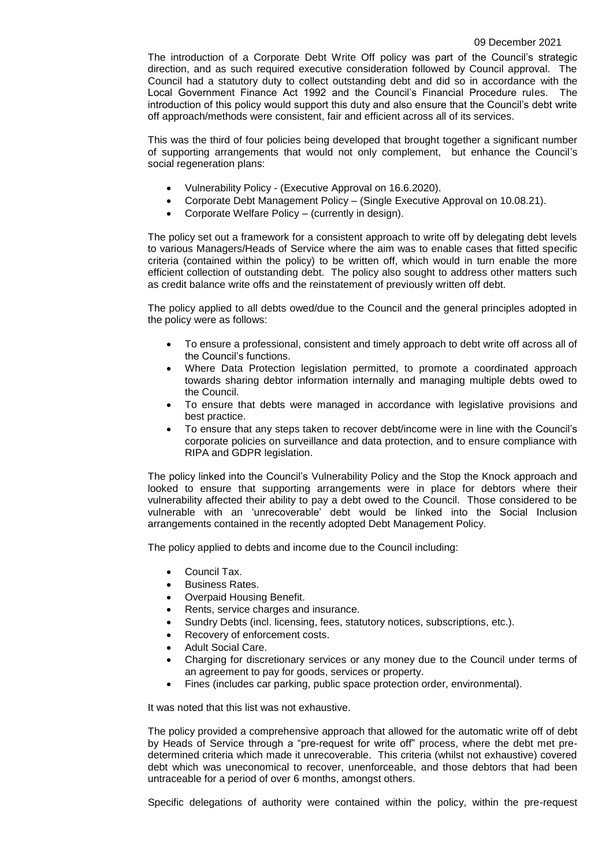The introduction of a Corporate Debt Write Off policy was part of the Council's strategic direction, and as such required executive consideration followed by Council approval. The Council had a statutory duty to collect outstanding debt and did so in accordance with the Local Government Finance Act 1992 and the Council's Financial Procedure rules. The introduction of this policy would support this duty and also ensure that the Council's debt write off approach/methods were consistent, fair and efficient across all of its services.

This was the third of four policies being developed that brought together a significant number of supporting arrangements that would not only complement, but enhance the Council's social regeneration plans:

- Vulnerability Policy (Executive Approval on 16.6.2020).
- Corporate Debt Management Policy (Single Executive Approval on 10.08.21).
- Corporate Welfare Policy (currently in design).

The policy set out a framework for a consistent approach to write off by delegating debt levels to various Managers/Heads of Service where the aim was to enable cases that fitted specific criteria (contained within the policy) to be written off, which would in turn enable the more efficient collection of outstanding debt. The policy also sought to address other matters such as credit balance write offs and the reinstatement of previously written off debt.

The policy applied to all debts owed/due to the Council and the general principles adopted in the policy were as follows:

- To ensure a professional, consistent and timely approach to debt write off across all of the Council's functions.
- Where Data Protection legislation permitted, to promote a coordinated approach towards sharing debtor information internally and managing multiple debts owed to the Council.
- To ensure that debts were managed in accordance with legislative provisions and best practice.
- To ensure that any steps taken to recover debt/income were in line with the Council's corporate policies on surveillance and data protection, and to ensure compliance with RIPA and GDPR legislation.

The policy linked into the Council's Vulnerability Policy and the Stop the Knock approach and looked to ensure that supporting arrangements were in place for debtors where their vulnerability affected their ability to pay a debt owed to the Council. Those considered to be vulnerable with an 'unrecoverable' debt would be linked into the Social Inclusion arrangements contained in the recently adopted Debt Management Policy.

The policy applied to debts and income due to the Council including:

- Council Tax.
- **•** Business Rates.
- Overpaid Housing Benefit.
- Rents, service charges and insurance.
- Sundry Debts (incl. licensing, fees, statutory notices, subscriptions, etc.).
- Recovery of enforcement costs.
- Adult Social Care.
- Charging for discretionary services or any money due to the Council under terms of an agreement to pay for goods, services or property.
- Fines (includes car parking, public space protection order, environmental).

It was noted that this list was not exhaustive.

The policy provided a comprehensive approach that allowed for the automatic write off of debt by Heads of Service through a "pre-request for write off" process, where the debt met predetermined criteria which made it unrecoverable. This criteria (whilst not exhaustive) covered debt which was uneconomical to recover, unenforceable, and those debtors that had been untraceable for a period of over 6 months, amongst others.

Specific delegations of authority were contained within the policy, within the pre-request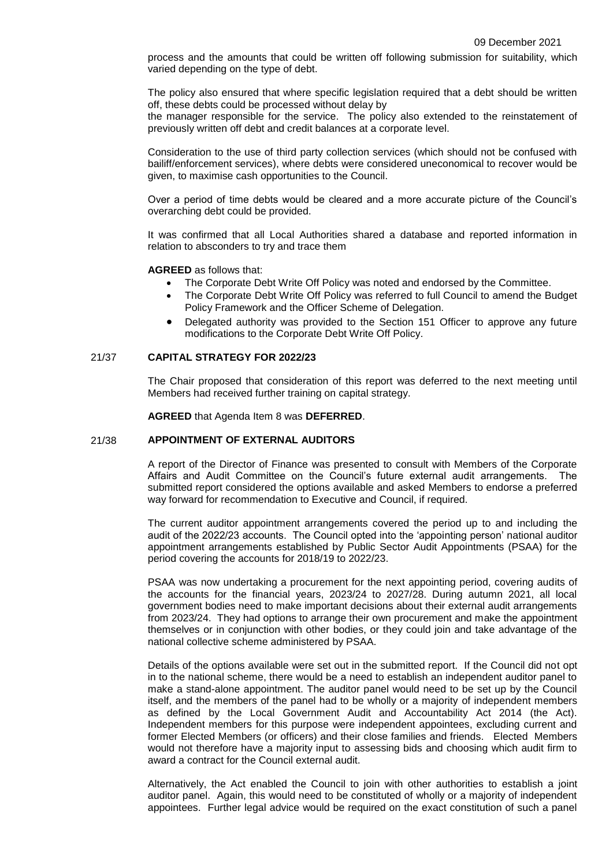process and the amounts that could be written off following submission for suitability, which varied depending on the type of debt.

The policy also ensured that where specific legislation required that a debt should be written off, these debts could be processed without delay by

the manager responsible for the service. The policy also extended to the reinstatement of previously written off debt and credit balances at a corporate level.

Consideration to the use of third party collection services (which should not be confused with bailiff/enforcement services), where debts were considered uneconomical to recover would be given, to maximise cash opportunities to the Council.

Over a period of time debts would be cleared and a more accurate picture of the Council's overarching debt could be provided.

It was confirmed that all Local Authorities shared a database and reported information in relation to absconders to try and trace them

**AGREED** as follows that:

- The Corporate Debt Write Off Policy was noted and endorsed by the Committee.
- The Corporate Debt Write Off Policy was referred to full Council to amend the Budget Policy Framework and the Officer Scheme of Delegation.
- Delegated authority was provided to the Section 151 Officer to approve any future modifications to the Corporate Debt Write Off Policy.

# 21/37 **CAPITAL STRATEGY FOR 2022/23**

The Chair proposed that consideration of this report was deferred to the next meeting until Members had received further training on capital strategy.

**AGREED** that Agenda Item 8 was **DEFERRED**.

### 21/38 **APPOINTMENT OF EXTERNAL AUDITORS**

A report of the Director of Finance was presented to consult with Members of the Corporate Affairs and Audit Committee on the Council's future external audit arrangements. The submitted report considered the options available and asked Members to endorse a preferred way forward for recommendation to Executive and Council, if required.

The current auditor appointment arrangements covered the period up to and including the audit of the 2022/23 accounts. The Council opted into the 'appointing person' national auditor appointment arrangements established by Public Sector Audit Appointments (PSAA) for the period covering the accounts for 2018/19 to 2022/23.

PSAA was now undertaking a procurement for the next appointing period, covering audits of the accounts for the financial years, 2023/24 to 2027/28. During autumn 2021, all local government bodies need to make important decisions about their external audit arrangements from 2023/24. They had options to arrange their own procurement and make the appointment themselves or in conjunction with other bodies, or they could join and take advantage of the national collective scheme administered by PSAA.

Details of the options available were set out in the submitted report. If the Council did not opt in to the national scheme, there would be a need to establish an independent auditor panel to make a stand-alone appointment. The auditor panel would need to be set up by the Council itself, and the members of the panel had to be wholly or a majority of independent members as defined by the Local Government Audit and Accountability Act 2014 (the Act). Independent members for this purpose were independent appointees, excluding current and former Elected Members (or officers) and their close families and friends. Elected Members would not therefore have a majority input to assessing bids and choosing which audit firm to award a contract for the Council external audit.

Alternatively, the Act enabled the Council to join with other authorities to establish a joint auditor panel. Again, this would need to be constituted of wholly or a majority of independent appointees. Further legal advice would be required on the exact constitution of such a panel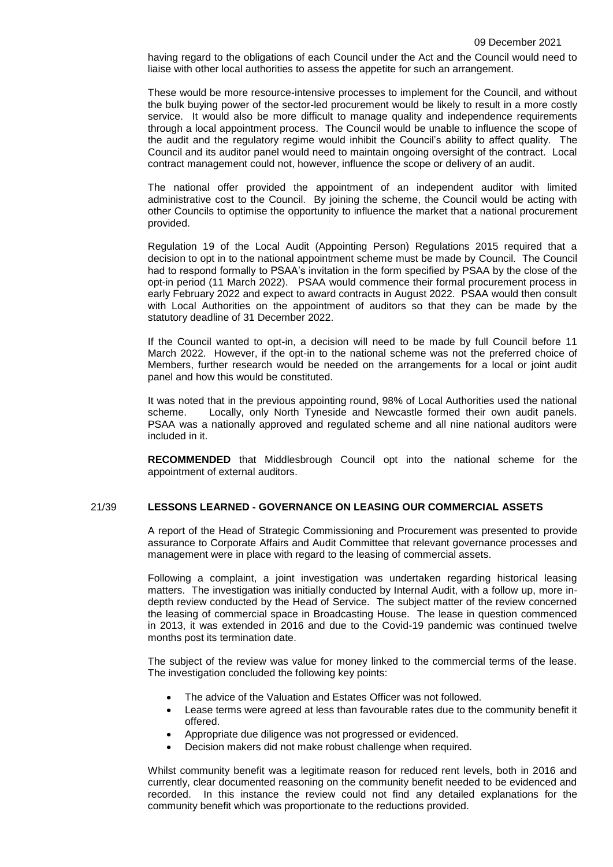having regard to the obligations of each Council under the Act and the Council would need to liaise with other local authorities to assess the appetite for such an arrangement.

These would be more resource-intensive processes to implement for the Council, and without the bulk buying power of the sector-led procurement would be likely to result in a more costly service. It would also be more difficult to manage quality and independence requirements through a local appointment process. The Council would be unable to influence the scope of the audit and the regulatory regime would inhibit the Council's ability to affect quality. The Council and its auditor panel would need to maintain ongoing oversight of the contract. Local contract management could not, however, influence the scope or delivery of an audit.

The national offer provided the appointment of an independent auditor with limited administrative cost to the Council. By joining the scheme, the Council would be acting with other Councils to optimise the opportunity to influence the market that a national procurement provided.

Regulation 19 of the Local Audit (Appointing Person) Regulations 2015 required that a decision to opt in to the national appointment scheme must be made by Council. The Council had to respond formally to PSAA's invitation in the form specified by PSAA by the close of the opt-in period (11 March 2022). PSAA would commence their formal procurement process in early February 2022 and expect to award contracts in August 2022. PSAA would then consult with Local Authorities on the appointment of auditors so that they can be made by the statutory deadline of 31 December 2022.

If the Council wanted to opt-in, a decision will need to be made by full Council before 11 March 2022. However, if the opt-in to the national scheme was not the preferred choice of Members, further research would be needed on the arrangements for a local or joint audit panel and how this would be constituted.

It was noted that in the previous appointing round, 98% of Local Authorities used the national scheme. Locally, only North Tyneside and Newcastle formed their own audit panels. PSAA was a nationally approved and regulated scheme and all nine national auditors were included in it.

**RECOMMENDED** that Middlesbrough Council opt into the national scheme for the appointment of external auditors.

# 21/39 **LESSONS LEARNED - GOVERNANCE ON LEASING OUR COMMERCIAL ASSETS**

A report of the Head of Strategic Commissioning and Procurement was presented to provide assurance to Corporate Affairs and Audit Committee that relevant governance processes and management were in place with regard to the leasing of commercial assets.

Following a complaint, a joint investigation was undertaken regarding historical leasing matters. The investigation was initially conducted by Internal Audit, with a follow up, more indepth review conducted by the Head of Service. The subject matter of the review concerned the leasing of commercial space in Broadcasting House. The lease in question commenced in 2013, it was extended in 2016 and due to the Covid-19 pandemic was continued twelve months post its termination date.

The subject of the review was value for money linked to the commercial terms of the lease. The investigation concluded the following key points:

- The advice of the Valuation and Estates Officer was not followed.
- Lease terms were agreed at less than favourable rates due to the community benefit it offered.
- Appropriate due diligence was not progressed or evidenced.
- Decision makers did not make robust challenge when required.

Whilst community benefit was a legitimate reason for reduced rent levels, both in 2016 and currently, clear documented reasoning on the community benefit needed to be evidenced and recorded. In this instance the review could not find any detailed explanations for the community benefit which was proportionate to the reductions provided.